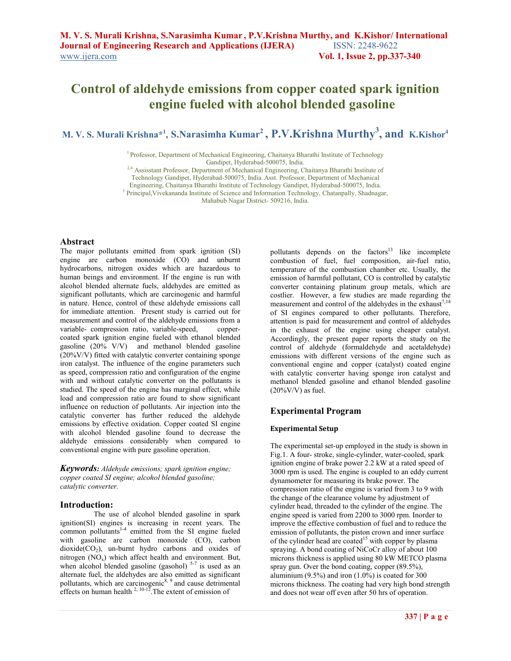# **Control of aldehyde emissions from copper coated spark ignition engine fueled with alcohol blended gasoline**

**M. V. S. Murali Krishna\*<sup>1</sup> , S.Narasimha Kumar<sup>2</sup> , P.V.Krishna Murthy<sup>3</sup> , and K.Kishor<sup>4</sup>**

<sup>1</sup> Professor, Department of Mechanical Engineering, Chaitanya Bharathi Institute of Technology Gandipet, Hyderabad-500075, India.

<sup>2,4</sup> Assisstant Professor, Department of Mechanical Engineering, Chaitanya Bharathi Institute of

Technology Gandipet, Hyderabad-500075, India. Asst. Professor, Department of Mechanical

Engineering, Chaitanya Bharathi Institute of Technology Gandipet, Hyderabad-500075, India.

<sup>3</sup> Principal, Vivekananda Institute of Science and Information Technology, Chatanpally, Shadnagar,

Mahabub Nagar District- 509216, India.

### **Abstract**

 The major pollutants emitted from spark ignition (SI) engine are carbon monoxide (CO) and unburnt hydrocarbons, nitrogen oxides which are hazardous to human beings and environment. If the engine is run with alcohol blended alternate fuels, aldehydes are emitted as significant pollutants, which are carcinogenic and harmful in nature. Hence, control of these aldehyde emissions call for immediate attention. Present study is carried out for measurement and control of the aldehyde emissions from a variable- compression ratio, variable-speed, coppercoated spark ignition engine fueled with ethanol blended gasoline (20% V/V) and methanol blended gasoline (20%V/V) fitted with catalytic converter containing sponge iron catalyst. The influence of the engine parameters such as speed, compression ratio and configuration of the engine with and without catalytic converter on the pollutants is studied. The speed of the engine has marginal effect, while load and compression ratio are found to show significant influence on reduction of pollutants. Air injection into the catalytic converter has further reduced the aldehyde emissions by effective oxidation. Copper coated SI engine with alcohol blended gasoline found to decrease the aldehyde emissions considerably when compared to conventional engine with pure gasoline operation.

*Keywords: Aldehyde emissions; spark ignition engine; copper coated SI engine; alcohol blended gasoline; catalytic converter.* 

## **Introduction:**

The use of alcohol blended gasoline in spark ignition(SI) engines is increasing in recent years. The common pollutants<sup>1-4</sup> emitted from the SI engine fueled with gasoline are carbon monoxide (CO), carbon  $dioxide(CO<sub>2</sub>)$ , un-burnt hydro carbons and oxides of nitrogen  $(NO_x)$  which affect health and environment. But, when alcohol blended gasoline (gasohol)  $5-7$  is used as an alternate fuel, the aldehydes are also emitted as significant pollutants, which are carcinogenic<sup>8, 9</sup> and cause detrimental effects on human health  $2, 10-12$ . The extent of emission of

pollutants depends on the factors $13$  like incomplete combustion of fuel, fuel composition, air-fuel ratio, temperature of the combustion chamber etc. Usually, the emission of harmful pollutant, CO is controlled by catalytic converter containing platinum group metals, which are costlier. However, a few studies are made regarding the measurement and control of the aldehydes in the exhaust<sup>7,14</sup> of SI engines compared to other pollutants. Therefore, attention is paid for measurement and control of aldehydes in the exhaust of the engine using cheaper catalyst. Accordingly, the present paper reports the study on the control of aldehyde (formaldehyde and acetaldehyde) emissions with different versions of the engine such as conventional engine and copper (catalyst) coated engine with catalytic converter having sponge iron catalyst and methanol blended gasoline and ethanol blended gasoline  $(20\%$ V/V) as fuel.

## **Experimental Program**

#### **Experimental Setup**

The experimental set-up employed in the study is shown in Fig.1. A four- stroke, single-cylinder, water-cooled, spark ignition engine of brake power 2.2 kW at a rated speed of 3000 rpm is used. The engine is coupled to an eddy current dynamometer for measuring its brake power. The compression ratio of the engine is varied from 3 to 9 with the change of the clearance volume by adjustment of cylinder head, threaded to the cylinder of the engine. The engine speed is varied from 2200 to 3000 rpm. Inorder to improve the effective combustion of fuel and to reduce the emission of pollutants, the piston crown and inner surface of the cylinder head are coated<sup>15</sup> with copper by plasma spraying. A bond coating of NiCoCr alloy of about 100 microns thickness is applied using 80 kW METCO plasma spray gun. Over the bond coating, copper (89.5%), aluminium  $(9.5\%)$  and iron  $(1.0\%)$  is coated for 300 microns thickness. The coating had very high bond strength and does not wear off even after 50 hrs of operation.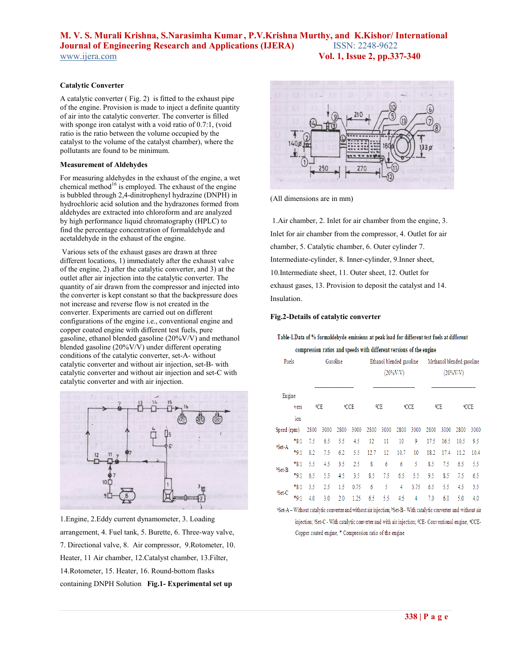# **M. V. S. Murali Krishna, S.Narasimha Kumar , P.V.Krishna Murthy, and K.Kishor/ International Journal of Engineering Research and Applications (IJERA)** www.ijera.com **Vol. 1, Issue 2, pp.337-340**

#### **Catalytic Converter**

A catalytic converter ( Fig. 2) is fitted to the exhaust pipe of the engine. Provision is made to inject a definite quantity of air into the catalytic converter. The converter is filled with sponge iron catalyst with a void ratio of 0.7:1, (void ratio is the ratio between the volume occupied by the catalyst to the volume of the catalyst chamber), where the pollutants are found to be minimum.

#### **Measurement of Aldehydes**

For measuring aldehydes in the exhaust of the engine, a wet chemical method<sup>16</sup> is employed. The exhaust of the engine is bubbled through 2,4-dinitrophenyl hydrazine (DNPH) in hydrochloric acid solution and the hydrazones formed from aldehydes are extracted into chloroform and are analyzed by high performance liquid chromatography (HPLC) to find the percentage concentration of formaldehyde and acetaldehyde in the exhaust of the engine.

 Various sets of the exhaust gases are drawn at three different locations, 1) immediately after the exhaust valve of the engine, 2) after the catalytic converter, and 3) at the outlet after air injection into the catalytic converter. The quantity of air drawn from the compressor and injected into the converter is kept constant so that the backpressure does not increase and reverse flow is not created in the converter. Experiments are carried out on different configurations of the engine i.e., conventional engine and copper coated engine with different test fuels, pure gasoline, ethanol blended gasoline (20%V/V) and methanol blended gasoline (20%V/V) under different operating conditions of the catalytic converter, set-A- without catalytic converter and without air injection, set-B- with catalytic converter and without air injection and set-C with catalytic converter and with air injection.



1.Engine, 2.Eddy current dynamometer, 3. Loading arrangement, 4. Fuel tank, 5. Burette, 6. Three-way valve, 7. Directional valve, 8. Air compressor, 9.Rotometer, 10. Heater, 11 Air chamber, 12.Catalyst chamber, 13.Filter, 14.Rotometer, 15. Heater, 16. Round-bottom flasks containing DNPH Solution **Fig.1- Experimental set up**



(All dimensions are in mm)

 1.Air chamber, 2. Inlet for air chamber from the engine, 3. Inlet for air chamber from the compressor, 4. Outlet for air chamber, 5. Catalytic chamber, 6. Outer cylinder 7. Intermediate-cylinder, 8. Inner-cylinder, 9.Inner sheet, 10.Intermediate sheet, 11. Outer sheet, 12. Outlet for exhaust gases, 13. Provision to deposit the catalyst and 14. Insulation.

### **Fig.2-Details of catalytic converter**

Table-1.Data of % formaldehyde emissions at peak load for different test fuels at different

compression ratios and speeds with different versions of the engine

| Fuels              |           | Gasoline |      |      |      |      |      | Ethanol blended gasoline<br>$(20\%$ V/V) |      | Methanol blended gasoline<br>$(20\%$ V/V) |      |      |      |  |
|--------------------|-----------|----------|------|------|------|------|------|------------------------------------------|------|-------------------------------------------|------|------|------|--|
| Engine             |           |          |      |      |      |      |      |                                          |      |                                           |      |      |      |  |
| vers               |           | ¢CE      |      | €CCE |      | ¢CE  |      | €CCE                                     |      | ¢CE                                       |      | €CCE |      |  |
|                    | ion       |          |      |      |      |      |      |                                          |      |                                           |      |      |      |  |
| Speed (rpm)        |           | 2800     | 3000 | 2800 | 3000 | 2800 | 3000 | 2800                                     | 3000 | 2800                                      | 3000 | 2800 | 3000 |  |
| <sup>a</sup> Set-A | $*_{8:1}$ | 7.5      | 6.5  | 5.5  | 4.5  | 12   | 11   | 10                                       | 9    | 17.5                                      | 16.5 | 10.5 | 9.5  |  |
|                    | $*9:1$    | 8.2      | 7.5  | 6.2  | 5.5  | 12.7 | 12   | 10.7                                     | 10   | 18.2                                      | 17.4 | 11.2 | 10.4 |  |
| <sup>b</sup> Set-B | *8:1      | 5.5      | 4.5  | 3.5  | 2.5  | 8    | 6    | 6                                        | 5    | 8.5                                       | 7.5  | 6.5  | 5.5  |  |
|                    | $*9:1$    | 6.5      | 5.5  | 4.5  | 3.5  | 8.5  | 7.5  | 6.5                                      | 5.5  | 9.5                                       | 8.5  | 7.5  | 6.5  |  |
| Set-C              | $*_{8:1}$ | 3.5      | 2.5  | 1.5  | 0.75 | 6    | 5    | 4                                        | 3.75 | 6.5                                       | 5.5  | 4.5  | 3.5  |  |
|                    | $*9:1$    | 4.0      | 3.0  | 2.0  | 1.25 | 6.5  | 5.5  | 4.5                                      | 4    | 7.0                                       | 6.0  | 5.0  | 4.0  |  |
|                    |           |          |      |      |      |      |      |                                          |      |                                           |      |      |      |  |

<sup>a</sup>Set-A - Without catalytic converter and without air injection; <sup>b</sup>Set-B - With catalytic converter and without air injection; 'Set-C - With catalytic converter and with air injection; <sup>4</sup>CE- Conventional engine, <sup>a</sup>CCE-Copper coated engine, \* Compression ratio of the engine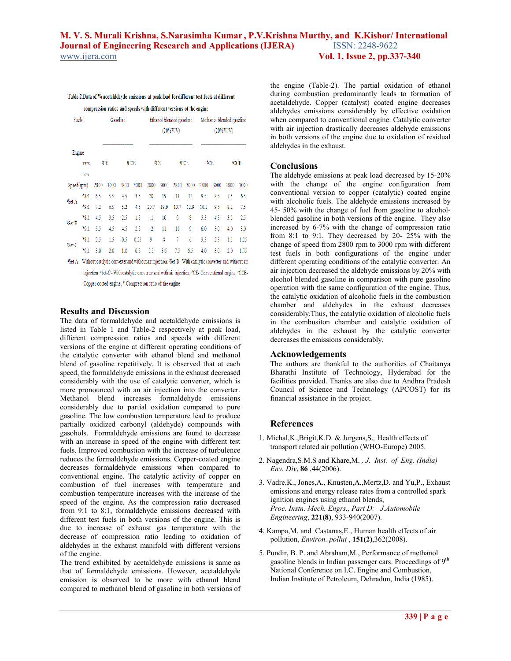## **M. V. S. Murali Krishna, S.Narasimha Kumar , P.V.Krishna Murthy, and K.Kishor/ International Journal of Engineering Research and Applications (IJERA)** www.ijera.com **Vol. 1, Issue 2, pp.337-340**

### Table-2.Data of % acetaldehyde emissions at peak load for different test fuels at different

compression ratios and speeds with different versions of the engine

| Fuels                                                                                                                        |           | Gasoline |      |      |      | Ethanol blended gasoline<br>$(20\%$ V/V) |      |            |      | Methanol blended gasoline<br>$(20\%V/V)$ |      |      |      |
|------------------------------------------------------------------------------------------------------------------------------|-----------|----------|------|------|------|------------------------------------------|------|------------|------|------------------------------------------|------|------|------|
| Engine                                                                                                                       |           |          |      |      |      |                                          |      |            |      |                                          |      |      |      |
| vers                                                                                                                         |           | ¢СЕ      |      | €CCE |      | ¢СЕ                                      |      | <b>CCE</b> |      | ¢СЕ                                      |      | €CCE |      |
|                                                                                                                              | ion       |          |      |      |      |                                          |      |            |      |                                          |      |      |      |
| Speed(rpm)                                                                                                                   |           | 2800     | 3000 | 2800 | 3000 | 2800                                     | 3000 | 2800       | 3000 | 2800                                     | 3000 | 2800 | 3000 |
| <sup>a</sup> Set-A                                                                                                           | $*_{8:1}$ | 6.5      | 5.5  | 4.5  | 3.5  | 20                                       | 19   | 13         | 12   | 9.5                                      | 8.5  | 7.5  | 6.5  |
|                                                                                                                              | $*9:1$    | 7.2      | 6.5  | 5.2  | 4.5  | 20.7                                     | 19.9 | 13.7       | 12.9 | 10.2                                     | 9.5  | 8.2  | 75   |
| <sup>b</sup> Set-B                                                                                                           | *8:1      | 4.5      | 35   | 2.5  | 1.5  | 11                                       | 10   | ğ          | 8    | 5.5                                      | 45   | 3.5  | 2.5  |
|                                                                                                                              | $*9:1$    | 5.5      | 4.5  | 4.5  | 2.5  | 12                                       | 11   | 10         | 9    | 6.0                                      | 5.0  | 4.0  | 3.0  |
| Set-C                                                                                                                        | $*_{8:1}$ | 2.5      | 15   | 0.5  | 0.25 | 9                                        | 8    | 7          | 6    | 3.5                                      | 2.5  | 1.5  | 1.25 |
|                                                                                                                              | $*9:1$    | 3.0      | 2.0  | 1.0  | 0.5  | 9.5                                      | 8.5  | 7.5        | 6.5  | 4.0                                      | 3.0  | 2.0  | 1.75 |
| *Set-A - Without catalytic converter and without air injection; *Set-B - With catalytic converter and without air            |           |          |      |      |      |                                          |      |            |      |                                          |      |      |      |
| injection; 'Set-C - With catalytic converter and with air injection; <sup>4</sup> CE- Conventional engine, <sup>e</sup> CCE- |           |          |      |      |      |                                          |      |            |      |                                          |      |      |      |
| Copper coated engine, * Compression ratio of the engine                                                                      |           |          |      |      |      |                                          |      |            |      |                                          |      |      |      |

## **Results and Discussion**

The data of formaldehyde and acetaldehyde emissions is listed in Table 1 and Table-2 respectively at peak load, different compression ratios and speeds with different versions of the engine at different operating conditions of the catalytic converter with ethanol blend and methanol blend of gasoline repetitively. It is observed that at each speed, the formaldehyde emissions in the exhaust decreased considerably with the use of catalytic converter, which is more pronounced with an air injection into the converter. Methanol blend increases formaldehyde emissions considerably due to partial oxidation compared to pure gasoline. The low combustion temperature lead to produce partially oxidized carbonyl (aldehyde) compounds with gasohols. Formaldehyde emissions are found to decrease with an increase in speed of the engine with different test fuels. Improved combustion with the increase of turbulence reduces the formaldehyde emissions. Copper-coated engine decreases formaldehyde emissions when compared to conventional engine. The catalytic activity of copper on combustion of fuel increases with temperature and combustion temperature increases with the increase of the speed of the engine. As the compression ratio decreased from 9:1 to 8:1, formaldehyde emissions decreased with different test fuels in both versions of the engine. This is due to increase of exhaust gas temperature with the decrease of compression ratio leading to oxidation of aldehydes in the exhaust manifold with different versions of the engine.

The trend exhibited by acetaldehyde emissions is same as that of formaldehyde emissions. However, acetaldehyde emission is observed to be more with ethanol blend compared to methanol blend of gasoline in both versions of the engine (Table-2). The partial oxidation of ethanol during combustion predominantly leads to formation of acetaldehyde. Copper (catalyst) coated engine decreases aldehydes emissions considerably by effective oxidation when compared to conventional engine. Catalytic converter with air injection drastically decreases aldehyde emissions in both versions of the engine due to oxidation of residual aldehydes in the exhaust.

## **Conclusions**

The aldehyde emissions at peak load decreased by 15-20% with the change of the engine configuration from conventional version to copper (catalytic) coated engine with alcoholic fuels. The aldehyde emissions increased by 45- 50% with the change of fuel from gasoline to alcoholblended gasoline in both versions of the engine. They also increased by 6-7% with the change of compression ratio from 8:1 to 9:1. They decreased by 20- 25% with the change of speed from 2800 rpm to 3000 rpm with different test fuels in both configurations of the engine under different operating conditions of the catalytic converter. An air injection decreased the aldehyde emissions by 20% with alcohol blended gasoline in comparison with pure gasoline operation with the same configuration of the engine. Thus, the catalytic oxidation of alcoholic fuels in the combustion chamber and aldehydes in the exhaust decreases considerably.Thus, the catalytic oxidation of alcoholic fuels in the combusiton chamber and catalytic oxidation of aldehydes in the exhaust by the catalytic converter decreases the emissions considerably.

### **Acknowledgements**

The authors are thankful to the authorities of Chaitanya Bharathi Institute of Technology, Hyderabad for the facilities provided. Thanks are also due to Andhra Pradesh Council of Science and Technology (APCOST) for its financial assistance in the project.

## **References**

- 1. Michal,K.,Brigit,K.D. & Jurgens,S.*,* Health effects of transport related air pollution (WHO-Europe) 2005.
- 2. Nagendra,S.M.S and Khare,M. *, J. Inst. of Eng. (India) Env. Div*, **86** ,44(2006).
- 3. Vadre,K., Jones,A., Knusten,A.,Mertz,D. and Yu,P., Exhaust emissions and energy release rates from a controlled spark ignition engines using ethanol blends, *Proc. Instn. Mech. Engrs., Part D: J.Automobile Engineering*, **221(8)**, 933-940(2007).
- 4. Kampa,M. and Castanas,E., Human health effects of air pollution, *Environ. pollut* , **151(2)**,362(2008).
- 5. Pundir, B. P. and Abraham,M., Performance of methanol gasoline blends in Indian passenger cars. Proceedings of 9<sup>th</sup> National Conference on I.C. Engine and Combustion, Indian Institute of Petroleum, Dehradun, India (1985).